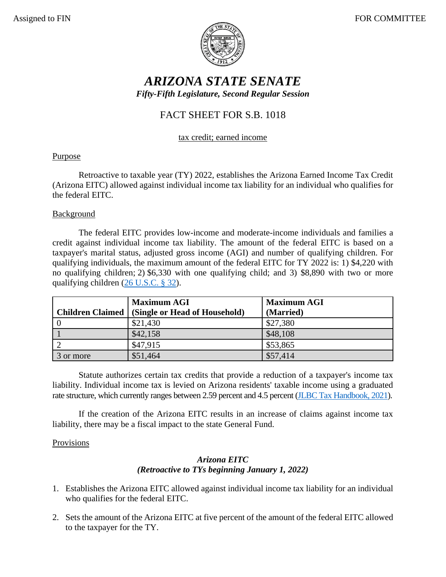

# *ARIZONA STATE SENATE Fifty-Fifth Legislature, Second Regular Session*

## FACT SHEET FOR S.B. 1018

#### tax credit; earned income

### Purpose

Retroactive to taxable year (TY) 2022, establishes the Arizona Earned Income Tax Credit (Arizona EITC) allowed against individual income tax liability for an individual who qualifies for the federal EITC.

### **Background**

The federal EITC provides low-income and moderate-income individuals and families a credit against individual income tax liability. The amount of the federal EITC is based on a taxpayer's marital status, adjusted gross income (AGI) and number of qualifying children. For qualifying individuals, the maximum amount of the federal EITC for TY 2022 is: 1) \$4,220 with no qualifying children; 2) \$6,330 with one qualifying child; and 3) \$8,890 with two or more qualifying children [\(26 U.S.C. § 32\)](https://uscode.house.gov/view.xhtml?req=(title:26%20section:32%20edition:prelim)).

|           | <b>Maximum AGI</b>                               | <b>Maximum AGI</b> |
|-----------|--------------------------------------------------|--------------------|
|           | Children Claimed   (Single or Head of Household) | (Married)          |
|           | \$21,430                                         | \$27,380           |
|           | \$42,158                                         | \$48,108           |
|           | \$47,915                                         | \$53,865           |
| 3 or more | \$51,464                                         | \$57,414           |

Statute authorizes certain tax credits that provide a reduction of a taxpayer's income tax liability. Individual income tax is levied on Arizona residents' taxable income using a graduated rate structure, which currently ranges between 2.59 percent and 4.5 percent [\(JLBC Tax Handbook, 2021\)](https://www.azjlbc.gov/revenues/21taxbk.pdf).

If the creation of the Arizona EITC results in an increase of claims against income tax liability, there may be a fiscal impact to the state General Fund.

### **Provisions**

### *Arizona EITC (Retroactive to TYs beginning January 1, 2022)*

- 1. Establishes the Arizona EITC allowed against individual income tax liability for an individual who qualifies for the federal EITC.
- 2. Sets the amount of the Arizona EITC at five percent of the amount of the federal EITC allowed to the taxpayer for the TY.